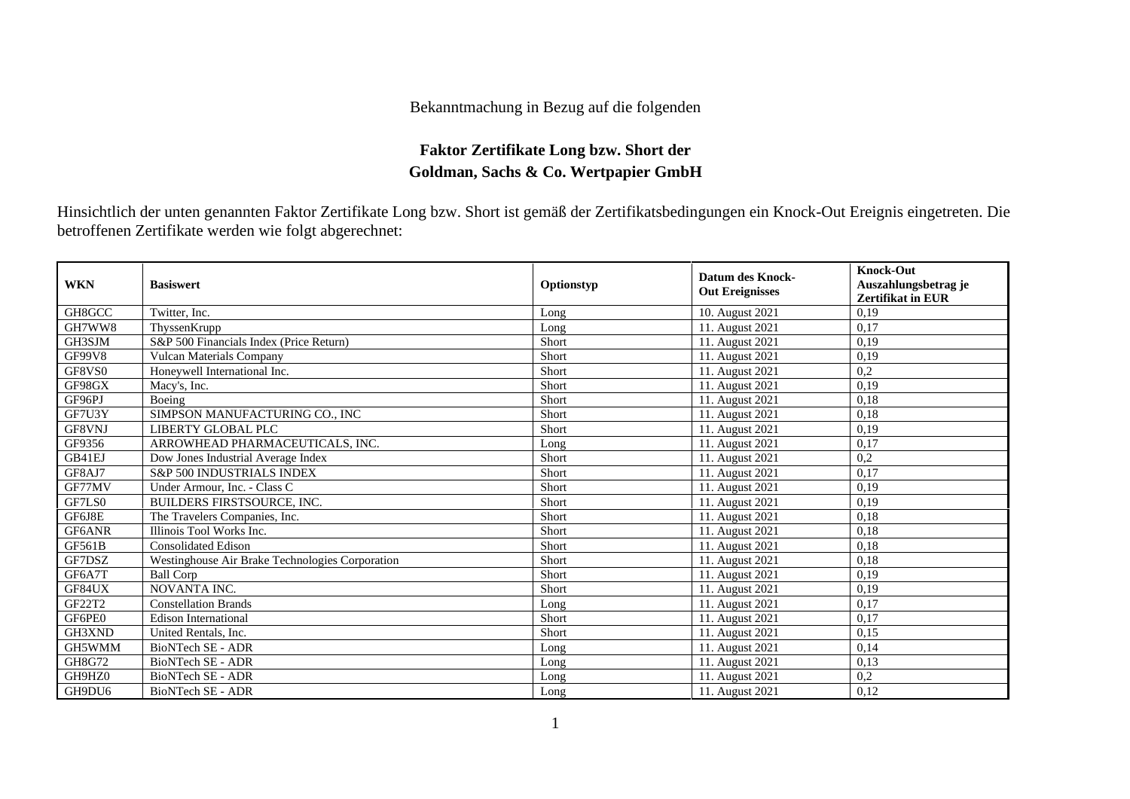## Bekanntmachung in Bezug auf die folgenden

## **Faktor Zertifikate Long bzw. Short der Goldman, Sachs & Co. Wertpapier GmbH**

Hinsichtlich der unten genannten Faktor Zertifikate Long bzw. Short ist gemäß der Zertifikatsbedingungen ein Knock-Out Ereignis eingetreten. Die betroffenen Zertifikate werden wie folgt abgerechnet:

| <b>WKN</b>    | <b>Basiswert</b>                                | Optionstyp   | <b>Datum des Knock-</b><br><b>Out Ereignisses</b> | <b>Knock-Out</b><br>Auszahlungsbetrag je<br><b>Zertifikat in EUR</b> |
|---------------|-------------------------------------------------|--------------|---------------------------------------------------|----------------------------------------------------------------------|
| GH8GCC        | Twitter, Inc.                                   | Long         | 10. August 2021                                   | 0.19                                                                 |
| GH7WW8        | ThyssenKrupp                                    | Long         | 11. August 2021                                   | 0.17                                                                 |
| GH3SJM        | S&P 500 Financials Index (Price Return)         | Short        | 11. August 2021                                   | 0.19                                                                 |
| <b>GF99V8</b> | <b>Vulcan Materials Company</b>                 | Short        | 11. August 2021                                   | 0,19                                                                 |
| GF8VS0        | Honeywell International Inc.                    | Short        | 11. August 2021                                   | 0,2                                                                  |
| GF98GX        | Macy's, Inc.                                    | Short        | 11. August 2021                                   | 0.19                                                                 |
| GF96PJ        | Boeing                                          | Short        | 11. August 2021                                   | 0,18                                                                 |
| GF7U3Y        | SIMPSON MANUFACTURING CO., INC                  | Short        | 11. August 2021                                   | 0,18                                                                 |
| GF8VNJ        | LIBERTY GLOBAL PLC                              | Short        | 11. August 2021                                   | 0,19                                                                 |
| GF9356        | ARROWHEAD PHARMACEUTICALS, INC.                 | Long         | 11. August 2021                                   | 0.17                                                                 |
| GB41EJ        | Dow Jones Industrial Average Index              | Short        | 11. August 2021                                   | 0,2                                                                  |
| GF8AJ7        | <b>S&amp;P 500 INDUSTRIALS INDEX</b>            | Short        | 11. August 2021                                   | 0,17                                                                 |
| GF77MV        | Under Armour, Inc. - Class C                    | Short        | 11. August 2021                                   | 0.19                                                                 |
| GF7LS0        | <b>BUILDERS FIRSTSOURCE, INC.</b>               | Short        | 11. August 2021                                   | 0.19                                                                 |
| GF6J8E        | The Travelers Companies, Inc.                   | Short        | 11. August 2021                                   | 0,18                                                                 |
| GF6ANR        | Illinois Tool Works Inc.                        | Short        | 11. August 2021                                   | 0,18                                                                 |
| <b>GF561B</b> | <b>Consolidated Edison</b>                      | Short        | 11. August 2021                                   | 0,18                                                                 |
| GF7DSZ        | Westinghouse Air Brake Technologies Corporation | Short        | 11. August 2021                                   | 0,18                                                                 |
| GF6A7T        | <b>Ball Corp</b>                                | <b>Short</b> | 11. August 2021                                   | 0.19                                                                 |
| GF84UX        | NOVANTA INC.                                    | Short        | 11. August 2021                                   | 0,19                                                                 |
| GF22T2        | <b>Constellation Brands</b>                     | Long         | 11. August 2021                                   | 0,17                                                                 |
| GF6PE0        | <b>Edison International</b>                     | Short        | 11. August 2021                                   | 0,17                                                                 |
| GH3XND        | United Rentals, Inc.                            | Short        | 11. August 2021                                   | 0,15                                                                 |
| GH5WMM        | <b>BioNTech SE - ADR</b>                        | Long         | 11. August 2021                                   | 0,14                                                                 |
| GH8G72        | BioNTech SE - ADR                               | Long         | 11. August 2021                                   | 0,13                                                                 |
| GH9HZ0        | BioNTech SE - ADR                               | Long         | 11. August 2021                                   | 0,2                                                                  |
| GH9DU6        | BioNTech SE - ADR                               | Long         | 11. August 2021                                   | 0,12                                                                 |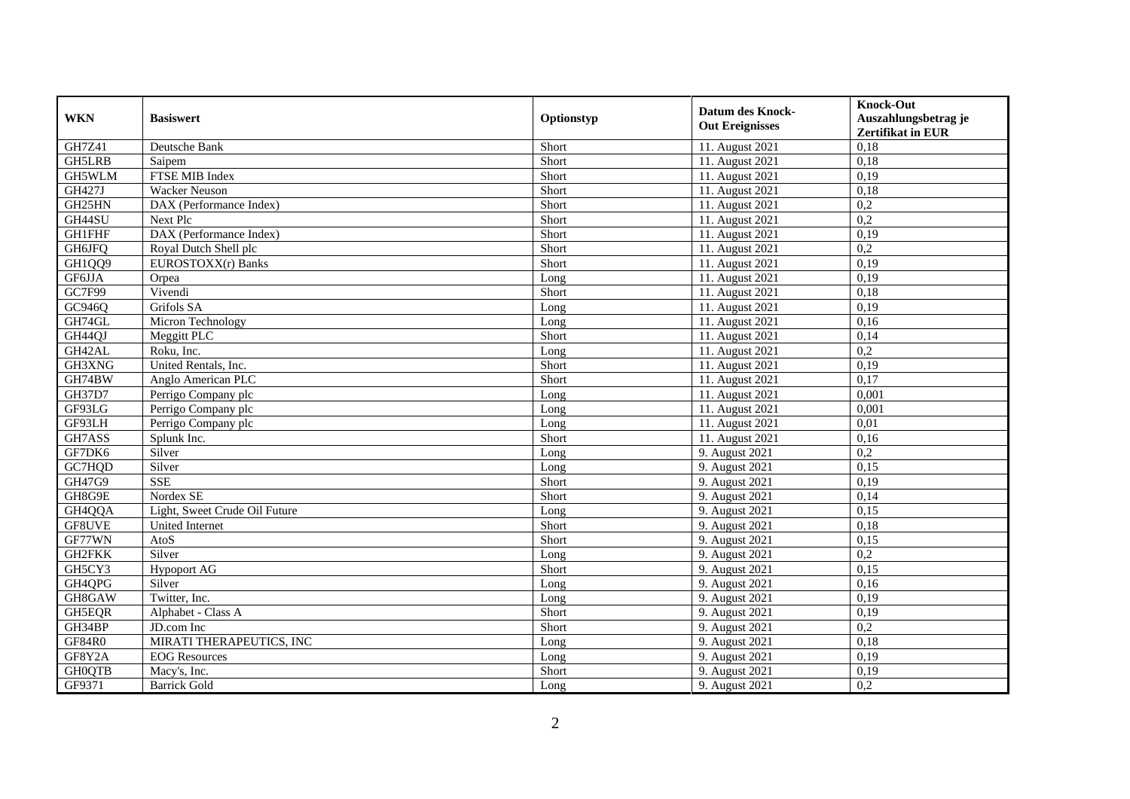| <b>WKN</b>    | <b>Basiswert</b>              | Optionstyp | <b>Datum des Knock-</b><br><b>Out Ereignisses</b> | <b>Knock-Out</b><br>Auszahlungsbetrag je<br>Zertifikat in EUR |
|---------------|-------------------------------|------------|---------------------------------------------------|---------------------------------------------------------------|
| GH7Z41        | Deutsche Bank                 | Short      | 11. August 2021                                   | 0,18                                                          |
| <b>GH5LRB</b> | Saipem                        | Short      | 11. August 2021                                   | 0,18                                                          |
| GH5WLM        | FTSE MIB Index                | Short      | 11. August 2021                                   | 0,19                                                          |
| GH427J        | <b>Wacker Neuson</b>          | Short      | 11. August 2021                                   | 0,18                                                          |
| GH25HN        | DAX (Performance Index)       | Short      | 11. August 2021                                   | 0,2                                                           |
| GH44SU        | Next Plc                      | Short      | 11. August 2021                                   | $\overline{0.2}$                                              |
| <b>GH1FHF</b> | DAX (Performance Index)       | Short      | 11. August 2021                                   | 0,19                                                          |
| <b>GH6JFQ</b> | Royal Dutch Shell plc         | Short      | 11. August 2021                                   | 0,2                                                           |
| GH1QQ9        | EUROSTOXX(r) Banks            | Short      | 11. August 2021                                   | 0,19                                                          |
| GF6JJA        | Orpea                         | Long       | 11. August 2021                                   | 0,19                                                          |
| GC7F99        | Vivendi                       | Short      | 11. August 2021                                   | 0,18                                                          |
| GC946Q        | Grifols SA                    | Long       | 11. August 2021                                   | 0,19                                                          |
| GH74GL        | Micron Technology             | Long       | 11. August 2021                                   | 0,16                                                          |
| GH44QJ        | Meggitt PLC                   | Short      | 11. August 2021                                   | 0.14                                                          |
| GH42AL        | Roku, Inc.                    | Long       | 11. August 2021                                   | 0,2                                                           |
| GH3XNG        | United Rentals, Inc.          | Short      | 11. August 2021                                   | 0,19                                                          |
| GH74BW        | Anglo American PLC            | Short      | 11. August 2021                                   | 0,17                                                          |
| <b>GH37D7</b> | Perrigo Company plc           | Long       | 11. August 2021                                   | 0,001                                                         |
| GF93LG        | Perrigo Company plc           | Long       | 11. August 2021                                   | 0,001                                                         |
| GF93LH        | Perrigo Company plc           | Long       | 11. August 2021                                   | 0,01                                                          |
| GH7ASS        | Splunk Inc.                   | Short      | 11. August 2021                                   | 0,16                                                          |
| GF7DK6        | Silver                        | Long       | 9. August 2021                                    | 0,2                                                           |
| GC7HQD        | Silver                        | Long       | 9. August 2021                                    | 0,15                                                          |
| GH47G9        | <b>SSE</b>                    | Short      | 9. August 2021                                    | 0,19                                                          |
| GH8G9E        | Nordex SE                     | Short      | 9. August 2021                                    | 0,14                                                          |
| GH4QQA        | Light, Sweet Crude Oil Future | Long       | 9. August 2021                                    | 0,15                                                          |
| GF8UVE        | <b>United Internet</b>        | Short      | 9. August 2021                                    | 0,18                                                          |
| GF77WN        | AtoS                          | Short      | 9. August 2021                                    | 0,15                                                          |
| GH2FKK        | Silver                        | Long       | 9. August 2021                                    | 0,2                                                           |
| GH5CY3        | <b>Hypoport AG</b>            | Short      | 9. August 2021                                    | 0,15                                                          |
| GH4QPG        | Silver                        | Long       | 9. August 2021                                    | 0,16                                                          |
| GH8GAW        | Twitter, Inc.                 | Long       | 9. August 2021                                    | 0,19                                                          |
| <b>GH5EQR</b> | Alphabet - Class A            | Short      | 9. August 2021                                    | 0,19                                                          |
| GH34BP        | JD.com Inc.                   | Short      | 9. August 2021                                    | 0,2                                                           |
| <b>GF84R0</b> | MIRATI THERAPEUTICS, INC      | Long       | 9. August 2021                                    | 0,18                                                          |
| GF8Y2A        | <b>EOG</b> Resources          | Long       | 9. August 2021                                    | 0,19                                                          |
| <b>GH0QTB</b> | Macy's, Inc.                  | Short      | 9. August 2021                                    | 0,19                                                          |
| GF9371        | <b>Barrick Gold</b>           | Long       | 9. August 2021                                    | 0,2                                                           |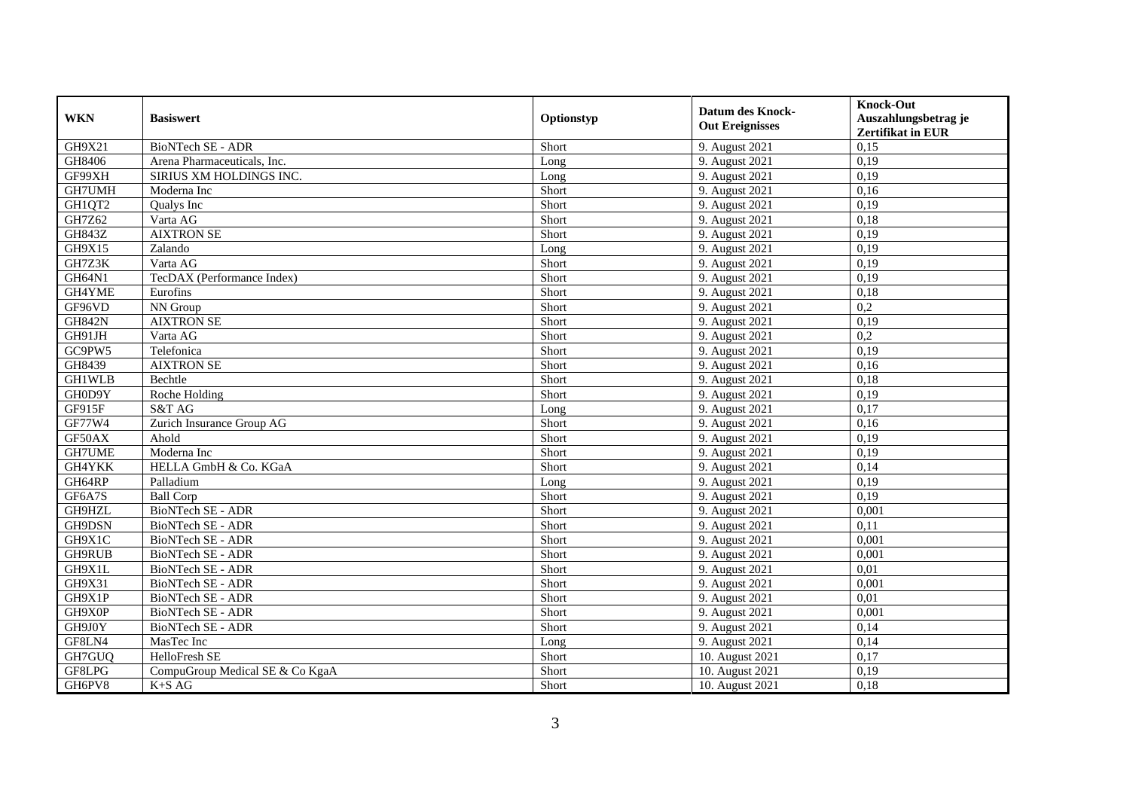| <b>WKN</b>    | <b>Basiswert</b>                | Optionstyp | <b>Datum des Knock-</b><br><b>Out Ereignisses</b> | <b>Knock-Out</b><br>Auszahlungsbetrag je<br><b>Zertifikat in EUR</b> |
|---------------|---------------------------------|------------|---------------------------------------------------|----------------------------------------------------------------------|
| GH9X21        | <b>BioNTech SE - ADR</b>        | Short      | 9. August 2021                                    | 0,15                                                                 |
| GH8406        | Arena Pharmaceuticals, Inc.     | Long       | 9. August 2021                                    | 0,19                                                                 |
| GF99XH        | <b>SIRIUS XM HOLDINGS INC.</b>  | Long       | 9. August 2021                                    | 0,19                                                                 |
| GH7UMH        | Moderna Inc                     | Short      | 9. August 2021                                    | 0,16                                                                 |
| GH1QT2        | Qualys Inc                      | Short      | 9. August 2021                                    | 0,19                                                                 |
| GH7Z62        | Varta AG                        | Short      | 9. August 2021                                    | 0,18                                                                 |
| <b>GH843Z</b> | <b>AIXTRON SE</b>               | Short      | 9. August 2021                                    | 0,19                                                                 |
| GH9X15        | Zalando                         | Long       | 9. August 2021                                    | 0,19                                                                 |
| GH7Z3K        | Varta AG                        | Short      | 9. August 2021                                    | 0,19                                                                 |
| GH64N1        | TecDAX (Performance Index)      | Short      | 9. August 2021                                    | 0,19                                                                 |
| GH4YME        | Eurofins                        | Short      | 9. August 2021                                    | 0,18                                                                 |
| GF96VD        | NN Group                        | Short      | 9. August 2021                                    | 0,2                                                                  |
| <b>GH842N</b> | <b>AIXTRON SE</b>               | Short      | 9. August 2021                                    | 0,19                                                                 |
| GH91JH        | Varta AG                        | Short      | 9. August 2021                                    | 0,2                                                                  |
| GC9PW5        | Telefonica                      | Short      | 9. August 2021                                    | 0,19                                                                 |
| GH8439        | <b>AIXTRON SE</b>               | Short      | 9. August 2021                                    | 0,16                                                                 |
| GH1WLB        | Bechtle                         | Short      | 9. August 2021                                    | 0.18                                                                 |
| GH0D9Y        | Roche Holding                   | Short      | 9. August 2021                                    | 0,19                                                                 |
| GF915F        | S&T AG                          | Long       | 9. August 2021                                    | 0,17                                                                 |
| GF77W4        | Zurich Insurance Group AG       | Short      | 9. August 2021                                    | 0,16                                                                 |
| GF50AX        | Ahold                           | Short      | 9. August 2021                                    | 0,19                                                                 |
| <b>GH7UME</b> | Moderna Inc                     | Short      | 9. August 2021                                    | 0,19                                                                 |
| GH4YKK        | HELLA GmbH & Co. KGaA           | Short      | 9. August 2021                                    | 0,14                                                                 |
| GH64RP        | Palladium                       | Long       | 9. August 2021                                    | 0,19                                                                 |
| GF6A7S        | <b>Ball Corp</b>                | Short      | 9. August 2021                                    | 0,19                                                                 |
| GH9HZL        | BioNTech SE - ADR               | Short      | 9. August 2021                                    | 0,001                                                                |
| GH9DSN        | <b>BioNTech SE - ADR</b>        | Short      | 9. August 2021                                    | 0,11                                                                 |
| GH9X1C        | <b>BioNTech SE - ADR</b>        | Short      | 9. August 2021                                    | 0,001                                                                |
| <b>GH9RUB</b> | BioNTech SE - ADR               | Short      | 9. August 2021                                    | 0,001                                                                |
| GH9X1L        | BioNTech SE - ADR               | Short      | 9. August 2021                                    | 0,01                                                                 |
| GH9X31        | BioNTech SE - ADR               | Short      | 9. August 2021                                    | 0,001                                                                |
| GH9X1P        | <b>BioNTech SE - ADR</b>        | Short      | 9. August 2021                                    | 0.01                                                                 |
| GH9X0P        | <b>BioNTech SE - ADR</b>        | Short      | 9. August 2021                                    | 0,001                                                                |
| GH9J0Y        | BioNTech SE - ADR               | Short      | 9. August 2021                                    | 0,14                                                                 |
| GF8LN4        | MasTec Inc                      | Long       | 9. August 2021                                    | 0,14                                                                 |
| GH7GUQ        | HelloFresh SE                   | Short      | 10. August 2021                                   | 0,17                                                                 |
| GF8LPG        | CompuGroup Medical SE & Co KgaA | Short      | 10. August 2021                                   | 0,19                                                                 |
| GH6PV8        | $K+SAG$                         | Short      | 10. August 2021                                   | 0,18                                                                 |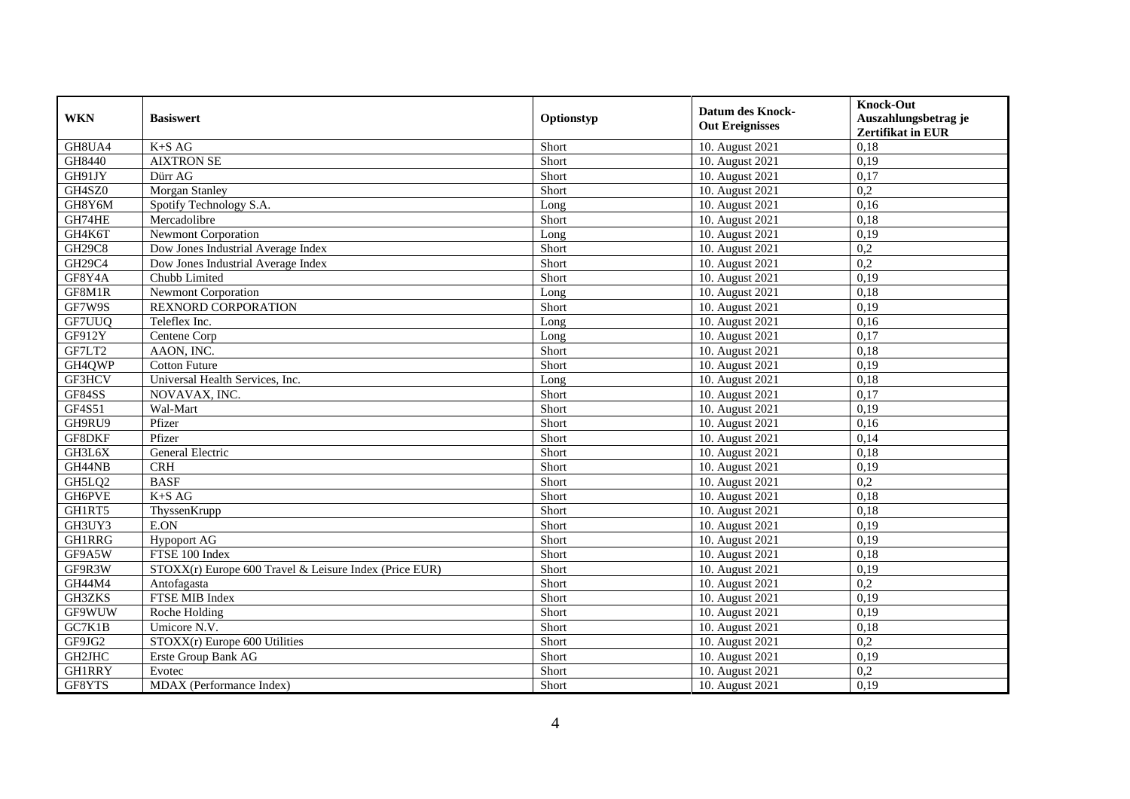| <b>WKN</b>    | <b>Basiswert</b>                                       | Optionstyp | <b>Datum des Knock-</b><br><b>Out Ereignisses</b> | <b>Knock-Out</b><br>Auszahlungsbetrag je<br><b>Zertifikat in EUR</b> |
|---------------|--------------------------------------------------------|------------|---------------------------------------------------|----------------------------------------------------------------------|
| GH8UA4        | $K+SAG$                                                | Short      | 10. August 2021                                   | 0,18                                                                 |
| GH8440        | <b>AIXTRON SE</b>                                      | Short      | 10. August 2021                                   | 0,19                                                                 |
| GH91JY        | Dürr AG                                                | Short      | 10. August 2021                                   | 0,17                                                                 |
| GH4SZ0        | Morgan Stanley                                         | Short      | 10. August 2021                                   | 0,2                                                                  |
| GH8Y6M        | Spotify Technology S.A.                                | Long       | 10. August 2021                                   | 0,16                                                                 |
| GH74HE        | Mercadolibre                                           | Short      | 10. August 2021                                   | 0,18                                                                 |
| GH4K6T        | <b>Newmont Corporation</b>                             | Long       | 10. August 2021                                   | 0,19                                                                 |
| <b>GH29C8</b> | Dow Jones Industrial Average Index                     | Short      | 10. August 2021                                   | 0,2                                                                  |
| GH29C4        | Dow Jones Industrial Average Index                     | Short      | 10. August 2021                                   | 0,2                                                                  |
| GF8Y4A        | Chubb Limited                                          | Short      | 10. August 2021                                   | 0,19                                                                 |
| GF8M1R        | <b>Newmont Corporation</b>                             | Long       | 10. August 2021                                   | 0.18                                                                 |
| GF7W9S        | <b>REXNORD CORPORATION</b>                             | Short      | 10. August 2021                                   | 0,19                                                                 |
| GF7UUQ        | Teleflex Inc.                                          | Long       | 10. August 2021                                   | 0,16                                                                 |
| GF912Y        | Centene Corp                                           | Long       | 10. August 2021                                   | 0,17                                                                 |
| GF7LT2        | AAON, INC.                                             | Short      | 10. August 2021                                   | 0,18                                                                 |
| GH4QWP        | <b>Cotton Future</b>                                   | Short      | 10. August 2021                                   | 0,19                                                                 |
| GF3HCV        | Universal Health Services, Inc.                        | Long       | 10. August 2021                                   | 0,18                                                                 |
| GF84SS        | NOVAVAX, INC.                                          | Short      | 10. August 2021                                   | 0,17                                                                 |
| GF4S51        | Wal-Mart                                               | Short      | 10. August 2021                                   | 0,19                                                                 |
| GH9RU9        | Pfizer                                                 | Short      | 10. August 2021                                   | 0,16                                                                 |
| GF8DKF        | Pfizer                                                 | Short      | 10. August 2021                                   | 0,14                                                                 |
| GH3L6X        | General Electric                                       | Short      | 10. August 2021                                   | 0,18                                                                 |
| GH44NB        | <b>CRH</b>                                             | Short      | 10. August 2021                                   | 0,19                                                                 |
| GH5LQ2        | <b>BASF</b>                                            | Short      | 10. August 2021                                   | 0,2                                                                  |
| GH6PVE        | $K+SAG$                                                | Short      | 10. August 2021                                   | 0.18                                                                 |
| GH1RT5        | ThyssenKrupp                                           | Short      | 10. August 2021                                   | 0,18                                                                 |
| GH3UY3        | E.ON                                                   | Short      | 10. August 2021                                   | 0,19                                                                 |
| <b>GH1RRG</b> | <b>Hypoport AG</b>                                     | Short      | 10. August 2021                                   | 0,19                                                                 |
| GF9A5W        | FTSE 100 Index                                         | Short      | 10. August 2021                                   | 0,18                                                                 |
| GF9R3W        | STOXX(r) Europe 600 Travel & Leisure Index (Price EUR) | Short      | 10. August 2021                                   | 0,19                                                                 |
| GH44M4        | Antofagasta                                            | Short      | 10. August 2021                                   | 0,2                                                                  |
| GH3ZKS        | FTSE MIB Index                                         | Short      | 10. August 2021                                   | 0,19                                                                 |
| GF9WUW        | Roche Holding                                          | Short      | 10. August 2021                                   | 0,19                                                                 |
| GC7K1B        | Umicore N.V.                                           | Short      | 10. August 2021                                   | 0,18                                                                 |
| GF9JG2        | STOXX(r) Europe 600 Utilities                          | Short      | 10. August 2021                                   | 0,2                                                                  |
| GH2JHC        | Erste Group Bank AG                                    | Short      | 10. August 2021                                   | 0,19                                                                 |
| <b>GH1RRY</b> | Evotec                                                 | Short      | 10. August 2021                                   | 0,2                                                                  |
| GF8YTS        | MDAX (Performance Index)                               | Short      | 10. August 2021                                   | 0,19                                                                 |